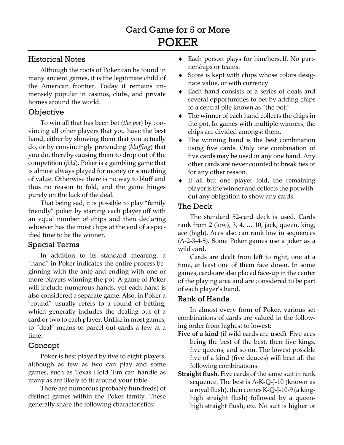## Historical Notes

Although the roots of Poker can be found in many ancient games, it is the legitimate child of the American frontier. Today it remains immensely popular in casinos, clubs, and private homes around the world.

# **Objective**

To win all that has been bet (*the pot*) by convincing all other players that you have the best hand, either by showing them that you actually do, or by convincingly pretending (*bluffing*) that you do, thereby causing them to drop out of the competition (*fold*). Poker is a gambling game that is almost always played for money or something of value. Otherwise there is no way to bluff and thus no reason to fold, and the game hinges purely on the luck of the deal.

That being sad, it is possible to play "family friendly" poker by starting each player off with an equal number of chips and then declaring whoever has the most chips at the end of a specified time to be the winner.

# Special Terms

In addition to its standard meaning, a "hand" in Poker indicates the entire process beginning with the ante and ending with one or more players winning the pot. A game of Poker will include numerous hands, yet each hand is also considered a separate game. Also, in Poker a "round" usually refers to a round of betting, which generally includes the dealing out of a card or two to each player. Unlike in most games, to "deal" means to parcel out cards a few at a time.

# Concept

Poker is best played by five to eight players, although as few as two can play and some games, such as Texas Hold 'Em can handle as many as are likely to fit around your table.

There are numerous (probably hundreds) of distinct games within the Poker family. These generally share the following characteristics:

- ♦ Each person plays for him/herself. No partnerships or teams.
- ♦ Score is kept with chips whose colors designate value, or with currency.
- ♦ Each hand consists of a series of deals and several opportunities to bet by adding chips to a central pile known as "the pot."
- ♦ The winner of each hand collects the chips in the pot. In games with multiple winners, the chips are divided amongst them.
- ♦ The winning hand is the best combination using five cards. Only one combination of five cards may be used in any one hand. Any other cards are never counted to break ties or for any other reason.
- ♦ If all but one player fold, the remaining player is the winner and collects the pot without any obligation to show any cards.

## The Deck

The standard 52-card deck is used. Cards rank from 2 (low), 3, 4, … 10, jack, queen, king, ace (high). Aces also can rank low in sequences (A-2-3-4-5). Some Poker games use a joker as a wild card.

Cards are dealt from left to right, one at a time, at least one of them face down. In some games, cards are also placed face-up in the center of the playing area and are considered to be part of each player's hand.

# Rank of Hands

In almost every form of Poker, various set combinations of cards are valued in the following order from highest to lowest:

- **Five of a kind** (if wild cards are used). Five aces being the best of the best, then five kings, five queens, and so on. The lowest possible five of a kind (five deuces) will beat all the following combinations.
- **Straight flush**. Five cards of the same suit in rank sequence. The best is A-K-Q-J-10 (known as a royal flush), then comes K-Q-J-10-9 (a kinghigh straight flush) followed by a queenhigh straight flush, etc. No suit is higher or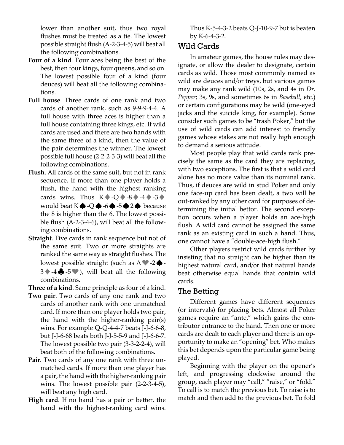lower than another suit, thus two royal flushes must be treated as a tie. The lowest possible straight flush (A-2-3-4-5) will beat all the following combinations.

- **Four of a kind**. Four aces being the best of the best, then four kings, four queens, and so on. The lowest possible four of a kind (four deuces) will beat all the following combinations.
- **Full house**. Three cards of one rank and two cards of another rank, such as 9-9-9-4-4. A full house with three aces is higher than a full house containing three kings, etc. If wild cards are used and there are two hands with the same three of a kind, then the value of the pair determines the winner. The lowest possible full house (2-2-2-3-3) will beat all the following combinations.
- **Flush**. All cards of the same suit, but not in rank sequence. If more than one player holds a flush, the hand with the highest ranking cards wins. Thus  $K \rightarrow Q \rightarrow 8 \rightarrow 4 \rightarrow 3 \rightarrow$ would beat K♠-Q♠-6♠-5♠2♠ because the 8 is higher than the 6. The lowest possible flush (A-2-3-4-6), will beat all the following combinations.
- **Straight**. Five cards in rank sequence but not of the same suit. Two or more straights are ranked the same way as straight flushes. The lowest possible straight (such as  $A \blacktriangleright 2 \spadesuit -1$  $3 \rightarrow -4 \oplus -5 \oplus$ , will beat all the following combinations.

**Three of a kind**. Same principle as four of a kind.

- **Two pair**. Two cards of any one rank and two cards of another rank with one unmatched card. If more than one player holds two pair, the hand with the higher-ranking pair(s) wins. For example Q-Q-4-4-7 beats J-J-6-6-8, but J-J-6-68 beats both J-J-5-5-9 and J-J-6-6-7. The lowest possible two pair (3-3-2-2-4), will beat both of the following combinations.
- **Pair**. Two cards of any one rank with three unmatched cards. If more than one player has a pair, the hand with the higher-ranking pair wins. The lowest possible pair (2-2-3-4-5), will beat any high card.
- **High card**. If no hand has a pair or better, the hand with the highest-ranking card wins.

Thus K-5-4-3-2 beats Q-J-10-9-7 but is beaten by K-6-4-3-2.

### Wild Cards

In amateur games, the house rules may designate, or allow the dealer to designate, certain cards as wild. Those most commonly named as wild are deuces and/or treys, but various games may make any rank wild (10s, 2s, and 4s in *Dr. Pepper*; 3s, 9s, and sometimes 6s in *Baseball*, etc.) or certain configurations may be wild (one-eyed jacks and the suicide king, for example). Some consider such games to be "trash Poker," but the use of wild cards can add interest to friendly games whose stakes are not really high enough to demand a serious attitude.

Most people play that wild cards rank precisely the same as the card they are replacing, with two exceptions. The first is that a wild card alone has no more value than its nominal rank. Thus, if deuces are wild in stud Poker and only one face-up card has been dealt, a two will be out-ranked by any other card for purposes of determining the initial bettor. The second exception occurs when a player holds an ace-high flush. A wild card cannot be assigned the same rank as an existing card in such a hand. Thus, one cannot have a "double-ace-high flush."

Other players restrict wild cards further by insisting that no straight can be higher than its highest natural card, and/or that natural hands beat otherwise equal hands that contain wild cards.

### The Betting

Different games have different sequences (or intervals) for placing bets. Almost all Poker games require an "ante," which gains the contributor entrance to the hand. Then one or more cards are dealt to each player and there is an opportunity to make an "opening" bet. Who makes this bet depends upon the particular game being played.

Beginning with the player on the opener's left, and progressing clockwise around the group, each player may "call," "raise," or "fold." To call is to match the previous bet. To raise is to match and then add to the previous bet. To fold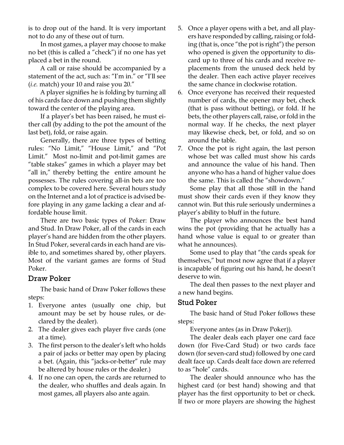is to drop out of the hand. It is very important not to do any of these out of turn.

In most games, a player may choose to make no bet (this is called a "check") if no one has yet placed a bet in the round.

A call or raise should be accompanied by a statement of the act, such as: "I'm in." or "I'll see (*i.e.* match) your 10 and raise you 20."

A player signifies he is folding by turning all of his cards face down and pushing them slightly toward the center of the playing area.

If a player's bet has been raised, he must either call (by adding to the pot the amount of the last bet), fold, or raise again.

Generally, there are three types of betting rules: "No Limit," "House Limit," and "Pot Limit." Most no-limit and pot-limit games are "table stakes" games in which a player may bet "all in," thereby betting the entire amount he possesses. The rules covering all-in bets are too complex to be covered here. Several hours study on the Internet and a lot of practice is advised before playing in any game lacking a clear and affordable house limit.

There are two basic types of Poker: Draw and Stud. In Draw Poker, all of the cards in each player's hand are hidden from the other players. In Stud Poker, several cards in each hand are visible to, and sometimes shared by, other players. Most of the variant games are forms of Stud Poker.

#### Draw Poker

The basic hand of Draw Poker follows these steps:

- 1. Everyone antes (usually one chip, but amount may be set by house rules, or declared by the dealer).
- 2. The dealer gives each player five cards (one at a time).
- 3. The first person to the dealer's left who holds a pair of jacks or better may open by placing a bet. (Again, this "jacks-or-better" rule may be altered by house rules or the dealer.)
- 4. If no one can open, the cards are returned to the dealer, who shuffles and deals again. In most games, all players also ante again.
- 5. Once a player opens with a bet, and all players have responded by calling, raising or folding (that is, once "the pot is right") the person who opened is given the opportunity to discard up to three of his cards and receive replacements from the unused deck held by the dealer. Then each active player receives the same chance in clockwise rotation.
- 6. Once everyone has received their requested number of cards, the opener may bet, check (that is pass without betting), or fold. If he bets, the other players call, raise, or fold in the normal way. If he checks, the next player may likewise check, bet, or fold, and so on around the table.
- 7. Once the pot is right again, the last person whose bet was called must show his cards and announce the value of his hand. Then anyone who has a hand of higher value does the same. This is called the "showdown."

Some play that all those still in the hand must show their cards even if they know they cannot win. But this rule seriously undermines a player's ability to bluff in the future.

The player who announces the best hand wins the pot (providing that he actually has a hand whose value is equal to or greater than what he announces).

Some used to play that "the cards speak for themselves," but most now agree that if a player is incapable of figuring out his hand, he doesn't deserve to win.

The deal then passes to the next player and a new hand begins.

### Stud Poker

The basic hand of Stud Poker follows these steps:

Everyone antes (as in Draw Poker)).

The dealer deals each player one card face down (for Five-Card Stud) or two cards face down (for seven-card stud) followed by one card dealt face up. Cards dealt face down are referred to as "hole" cards.

The dealer should announce who has the highest card (or best hand) showing and that player has the first opportunity to bet or check. If two or more players are showing the highest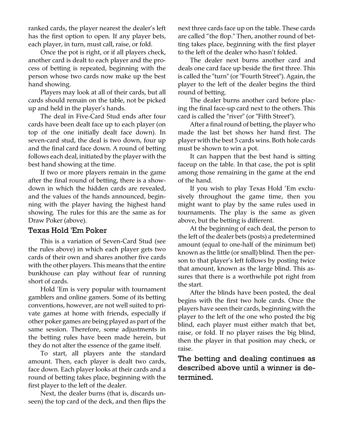ranked cards, the player nearest the dealer's left has the first option to open. If any player bets, each player, in turn, must call, raise, or fold.

Once the pot is right, or if all players check, another card is dealt to each player and the process of betting is repeated, beginning with the person whose two cards now make up the best hand showing.

Players may look at all of their cards, but all cards should remain on the table, not be picked up and held in the player's hands.

The deal in Five-Card Stud ends after four cards have been dealt face up to each player (on top of the one initially dealt face down). In seven-card stud, the deal is two down, four up and the final card face down. A round of betting follows each deal, initiated by the player with the best hand showing at the time.

If two or more players remain in the game after the final round of betting, there is a showdown in which the hidden cards are revealed, and the values of the hands announced, beginning with the player having the highest hand showing. The rules for this are the same as for Draw Poker (above).

#### Texas Hold 'Em Poker

This is a variation of Seven-Card Stud (see the rules above) in which each player gets two cards of their own and shares another five cards with the other players. This means that the entire bunkhouse can play without fear of running short of cards.

Hold 'Em is very popular with tournament gamblers and online gamers. Some of its betting conventions, however, are not well suited to private games at home with friends, especially if other poker games are being played as part of the same session. Therefore, some adjustments in the betting rules have been made herein, but they do not alter the essence of the game itself.

To start, all players ante the standard amount. Then, each player is dealt two cards, face down. Each player looks at their cards and a round of betting takes place, beginning with the first player to the left of the dealer.

Next, the dealer burns (that is, discards unseen) the top card of the deck, and then flips the next three cards face up on the table. These cards are called "the flop." Then, another round of betting takes place, beginning with the first player to the left of the dealer who hasn't folded.

The dealer next burns another card and deals one card face up beside the first three. This is called the "turn" (or "Fourth Street"). Again, the player to the left of the dealer begins the third round of betting.

The dealer burns another card before placing the final face-up card next to the others. This card is called the "river" (or "Fifth Street").

After a final round of betting, the player who made the last bet shows her hand first. The player with the best 5 cards wins. Both hole cards must be shown to win a pot.

It can happen that the best hand is sitting faceup on the table. In that case, the pot is split among those remaining in the game at the end of the hand.

If you wish to play Texas Hold 'Em exclusively throughout the game time, then you might want to play by the same rules used in tournaments. The play is the same as given above, but the betting is different.

At the beginning of each deal, the person to the left of the dealer bets (posts) a predetermined amount (equal to one-half of the minimum bet) known as the little (or small) blind. Then the person to that player's left follows by posting twice that amount, known as the large blind. This assures that there is a worthwhile pot right from the start.

After the blinds have been posted, the deal begins with the first two hole cards. Once the players have seen their cards, beginning with the player to the left of the one who posted the big blind, each player must either match that bet, raise, or fold. If no player raises the big blind, then the player in that position may check, or raise.

## The betting and dealing continues as described above until a winner is determined.